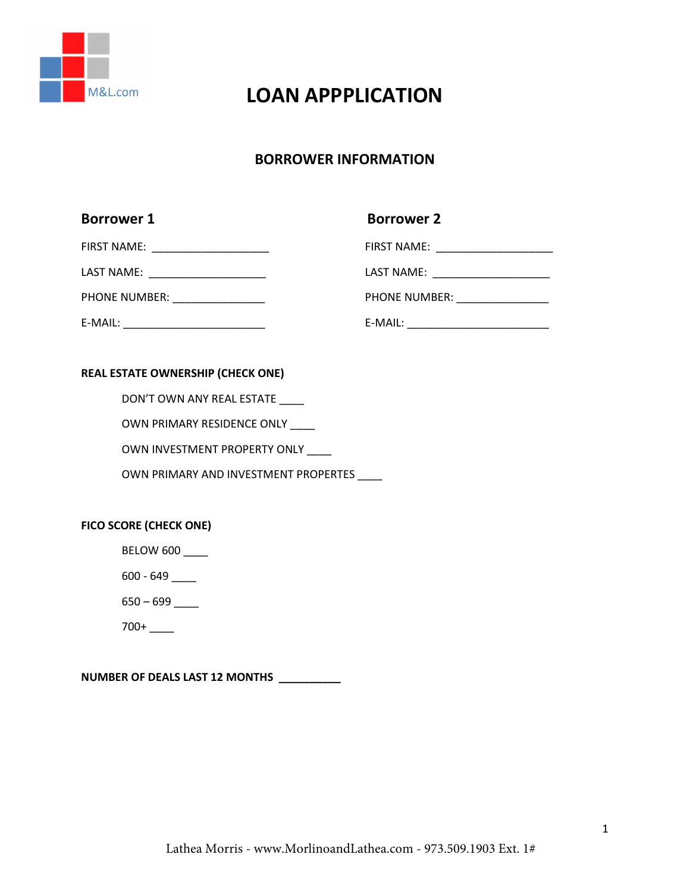

# **LOAN APPPLICATION**

## **BORROWER INFORMATION**

| <b>Borrower 1</b>                       | <b>Borrower 2</b>                        |
|-----------------------------------------|------------------------------------------|
| FIRST NAME: ________________________    |                                          |
| LAST NAME: _________________________    | LAST NAME: ________________________      |
| PHONE NUMBER: _________________         |                                          |
| E-MAIL: _______________________________ | E-MAIL: ________________________________ |
|                                         |                                          |

#### **REAL ESTATE OWNERSHIP (CHECK ONE)**

DON'T OWN ANY REAL ESTATE \_\_\_\_

OWN PRIMARY RESIDENCE ONLY \_\_\_

OWN INVESTMENT PROPERTY ONLY \_\_\_\_

OWN PRIMARY AND INVESTMENT PROPERTES \_\_\_\_

#### **FICO SCORE (CHECK ONE)**

BELOW 600

600 - 649 \_\_\_\_

650 – 699 \_\_\_\_

700+ \_\_\_\_

**NUMBER OF DEALS LAST 12 MONTHS \_\_\_\_\_\_\_\_\_\_**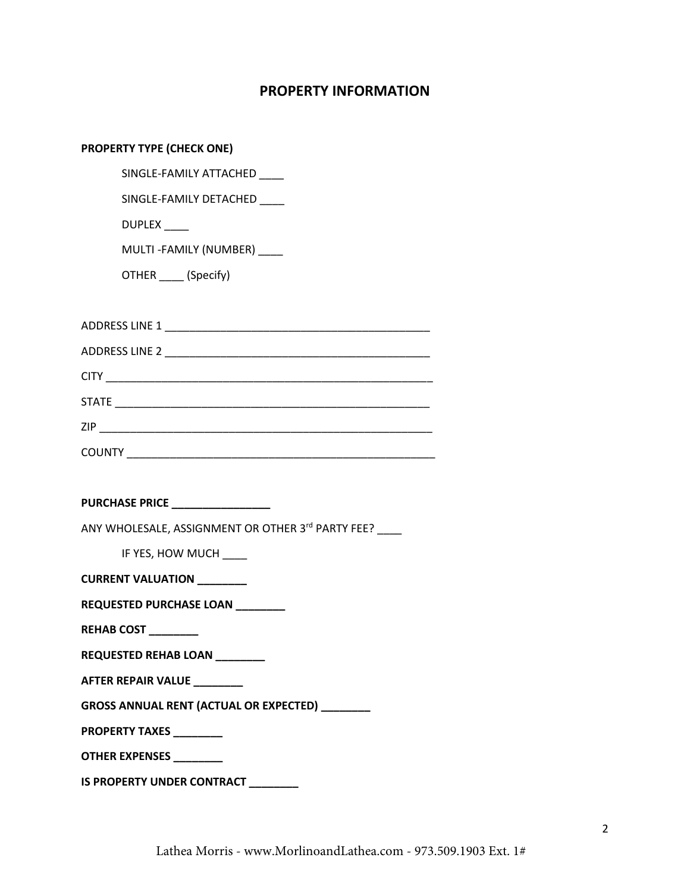# **PROPERTY INFORMATION**

| <b>PROPERTY TYPE (CHECK ONE)</b>                  |
|---------------------------------------------------|
| SINGLE-FAMILY ATTACHED                            |
| SINGLE-FAMILY DETACHED                            |
| DUPLEX ____                                       |
| MULTI-FAMILY (NUMBER)                             |
| OTHER _____ (Specify)                             |
|                                                   |
|                                                   |
|                                                   |
|                                                   |
|                                                   |
|                                                   |
|                                                   |
|                                                   |
|                                                   |
|                                                   |
| ANY WHOLESALE, ASSIGNMENT OR OTHER 3rd PARTY FEE? |
| IF YES, HOW MUCH                                  |
| CURRENT VALUATION _______                         |
| REQUESTED PURCHASE LOAN ________                  |
| REHAB COST ________                               |
| REQUESTED REHAB LOAN _______                      |
| AFTER REPAIR VALUE ________                       |
| GROSS ANNUAL RENT (ACTUAL OR EXPECTED) ________   |
| <b>PROPERTY TAXES</b> _______                     |
| OTHER EXPENSES _________                          |